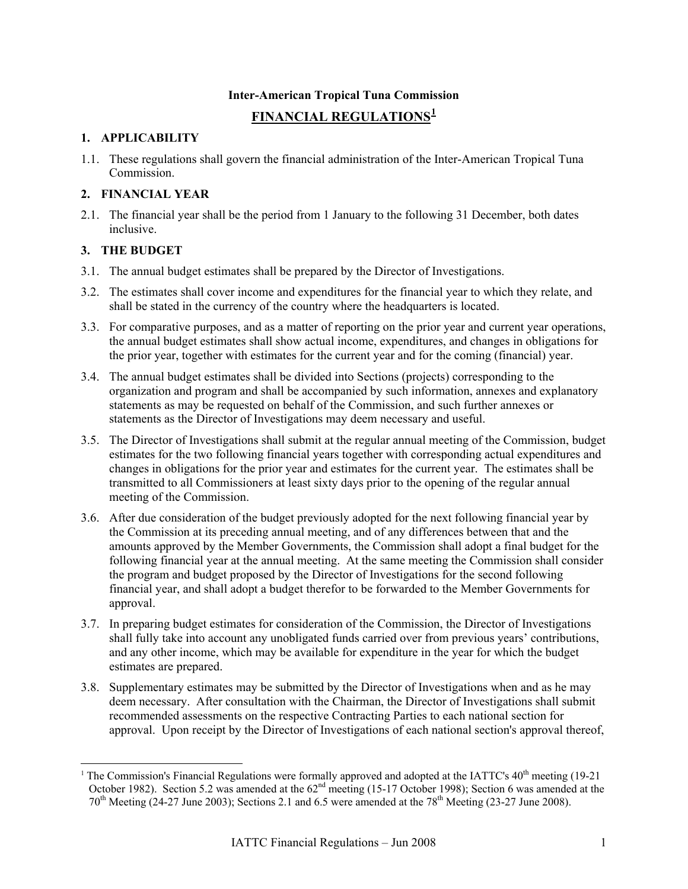# **Inter-American Tropical Tuna Commission**

# **FINANCIAL REGULATIONS[1](#page-0-0)**

### **1. APPLICABILITY**

1.1. These regulations shall govern the financial administration of the Inter-American Tropical Tuna Commission.

#### **2. FINANCIAL YEAR**

2.1. The financial year shall be the period from 1 January to the following 31 December, both dates inclusive.

### **3. THE BUDGET**

 $\overline{a}$ 

- 3.1. The annual budget estimates shall be prepared by the Director of Investigations.
- 3.2. The estimates shall cover income and expenditures for the financial year to which they relate, and shall be stated in the currency of the country where the headquarters is located.
- 3.3. For comparative purposes, and as a matter of reporting on the prior year and current year operations, the annual budget estimates shall show actual income, expenditures, and changes in obligations for the prior year, together with estimates for the current year and for the coming (financial) year.
- 3.4. The annual budget estimates shall be divided into Sections (projects) corresponding to the organization and program and shall be accompanied by such information, annexes and explanatory statements as may be requested on behalf of the Commission, and such further annexes or statements as the Director of Investigations may deem necessary and useful.
- 3.5. The Director of Investigations shall submit at the regular annual meeting of the Commission, budget estimates for the two following financial years together with corresponding actual expenditures and changes in obligations for the prior year and estimates for the current year. The estimates shall be transmitted to all Commissioners at least sixty days prior to the opening of the regular annual meeting of the Commission.
- 3.6. After due consideration of the budget previously adopted for the next following financial year by the Commission at its preceding annual meeting, and of any differences between that and the amounts approved by the Member Governments, the Commission shall adopt a final budget for the following financial year at the annual meeting. At the same meeting the Commission shall consider the program and budget proposed by the Director of Investigations for the second following financial year, and shall adopt a budget therefor to be forwarded to the Member Governments for approval.
- 3.7. In preparing budget estimates for consideration of the Commission, the Director of Investigations shall fully take into account any unobligated funds carried over from previous years' contributions, and any other income, which may be available for expenditure in the year for which the budget estimates are prepared.
- 3.8. Supplementary estimates may be submitted by the Director of Investigations when and as he may deem necessary. After consultation with the Chairman, the Director of Investigations shall submit recommended assessments on the respective Contracting Parties to each national section for approval. Upon receipt by the Director of Investigations of each national section's approval thereof,

<span id="page-0-0"></span><sup>&</sup>lt;sup>1</sup> The Commission's Financial Regulations were formally approved and adopted at the IATTC's  $40<sup>th</sup>$  meeting (19-21) October 1982). Section 5.2 was amended at the 62<sup>nd</sup> meeting (15-17 October 1998); Section 6 was amended at the 70<sup>th</sup> Meeting (24-27 June 2003); Sections 2.1 and 6.5 were amended at the 78<sup>th</sup> Meeting (23-27 June 2008).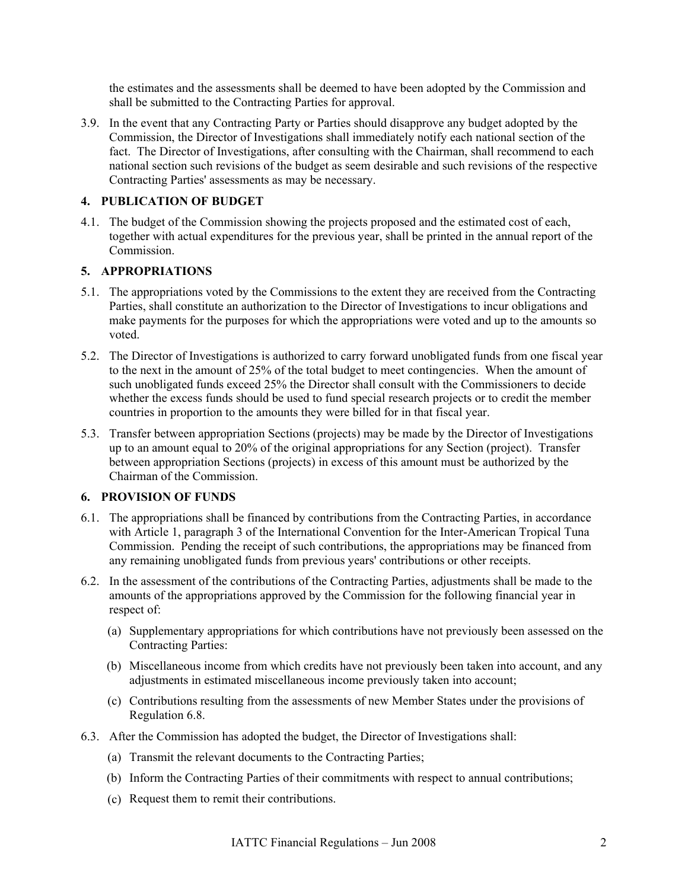the estimates and the assessments shall be deemed to have been adopted by the Commission and shall be submitted to the Contracting Parties for approval.

3.9. In the event that any Contracting Party or Parties should disapprove any budget adopted by the Commission, the Director of Investigations shall immediately notify each national section of the fact. The Director of Investigations, after consulting with the Chairman, shall recommend to each national section such revisions of the budget as seem desirable and such revisions of the respective Contracting Parties' assessments as may be necessary.

# **4. PUBLICATION OF BUDGET**

4.1. The budget of the Commission showing the projects proposed and the estimated cost of each, together with actual expenditures for the previous year, shall be printed in the annual report of the **Commission** 

# **5. APPROPRIATIONS**

- 5.1. The appropriations voted by the Commissions to the extent they are received from the Contracting Parties, shall constitute an authorization to the Director of Investigations to incur obligations and make payments for the purposes for which the appropriations were voted and up to the amounts so voted.
- 5.2. The Director of Investigations is authorized to carry forward unobligated funds from one fiscal year to the next in the amount of 25% of the total budget to meet contingencies. When the amount of such unobligated funds exceed 25% the Director shall consult with the Commissioners to decide whether the excess funds should be used to fund special research projects or to credit the member countries in proportion to the amounts they were billed for in that fiscal year.
- 5.3. Transfer between appropriation Sections (projects) may be made by the Director of Investigations up to an amount equal to 20% of the original appropriations for any Section (project). Transfer between appropriation Sections (projects) in excess of this amount must be authorized by the Chairman of the Commission.

# **6. PROVISION OF FUNDS**

- 6.1. The appropriations shall be financed by contributions from the Contracting Parties, in accordance with Article 1, paragraph 3 of the International Convention for the Inter-American Tropical Tuna Commission. Pending the receipt of such contributions, the appropriations may be financed from any remaining unobligated funds from previous years' contributions or other receipts.
- 6.2. In the assessment of the contributions of the Contracting Parties, adjustments shall be made to the amounts of the appropriations approved by the Commission for the following financial year in respect of:
	- (a) Supplementary appropriations for which contributions have not previously been assessed on the Contracting Parties:
	- (b) Miscellaneous income from which credits have not previously been taken into account, and any adjustments in estimated miscellaneous income previously taken into account;
	- (c) Contributions resulting from the assessments of new Member States under the provisions of Regulation 6.8.
- 6.3. After the Commission has adopted the budget, the Director of Investigations shall:
	- (a) Transmit the relevant documents to the Contracting Parties;
	- (b) Inform the Contracting Parties of their commitments with respect to annual contributions;
	- (c) Request them to remit their contributions.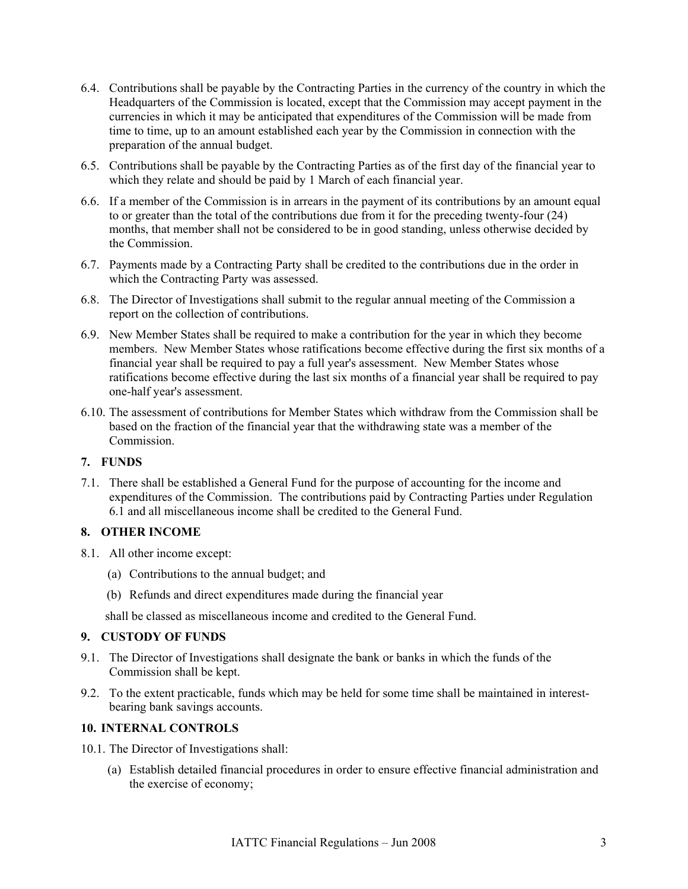- 6.4. Contributions shall be payable by the Contracting Parties in the currency of the country in which the Headquarters of the Commission is located, except that the Commission may accept payment in the currencies in which it may be anticipated that expenditures of the Commission will be made from time to time, up to an amount established each year by the Commission in connection with the preparation of the annual budget.
- 6.5. Contributions shall be payable by the Contracting Parties as of the first day of the financial year to which they relate and should be paid by 1 March of each financial year.
- 6.6. If a member of the Commission is in arrears in the payment of its contributions by an amount equal to or greater than the total of the contributions due from it for the preceding twenty-four (24) months, that member shall not be considered to be in good standing, unless otherwise decided by the Commission.
- 6.7. Payments made by a Contracting Party shall be credited to the contributions due in the order in which the Contracting Party was assessed.
- 6.8. The Director of Investigations shall submit to the regular annual meeting of the Commission a report on the collection of contributions.
- 6.9. New Member States shall be required to make a contribution for the year in which they become members. New Member States whose ratifications become effective during the first six months of a financial year shall be required to pay a full year's assessment. New Member States whose ratifications become effective during the last six months of a financial year shall be required to pay one-half year's assessment.
- 6.10. The assessment of contributions for Member States which withdraw from the Commission shall be based on the fraction of the financial year that the withdrawing state was a member of the Commission.

# **7. FUNDS**

7.1. There shall be established a General Fund for the purpose of accounting for the income and expenditures of the Commission. The contributions paid by Contracting Parties under Regulation 6.1 and all miscellaneous income shall be credited to the General Fund.

#### **8. OTHER INCOME**

- 8.1. All other income except:
	- (a) Contributions to the annual budget; and
	- (b) Refunds and direct expenditures made during the financial year

shall be classed as miscellaneous income and credited to the General Fund.

#### **9. CUSTODY OF FUNDS**

- 9.1. The Director of Investigations shall designate the bank or banks in which the funds of the Commission shall be kept.
- 9.2. To the extent practicable, funds which may be held for some time shall be maintained in interestbearing bank savings accounts.

# **10. INTERNAL CONTROLS**

- 10.1. The Director of Investigations shall:
	- (a) Establish detailed financial procedures in order to ensure effective financial administration and the exercise of economy;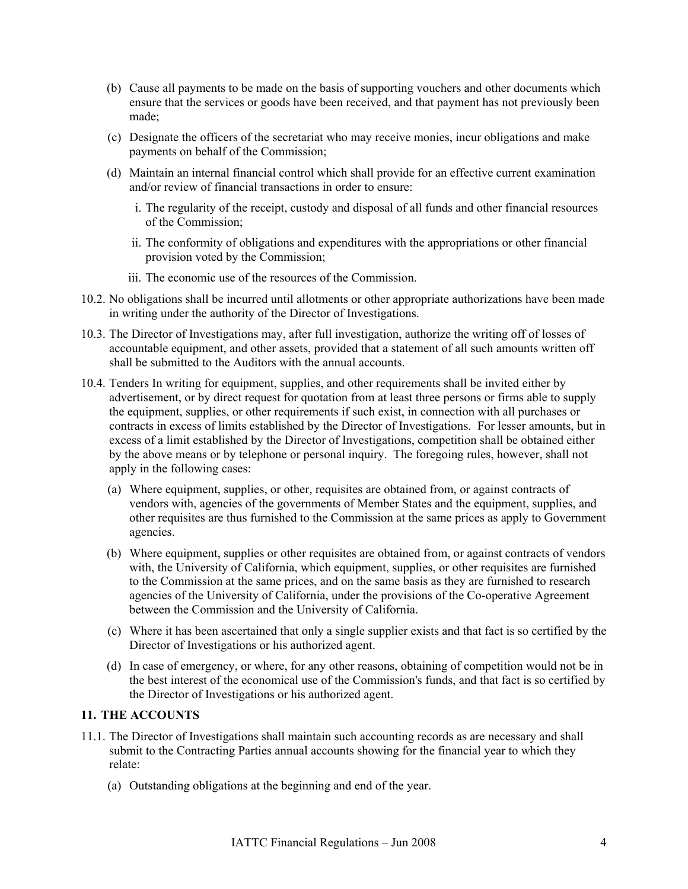- (b) Cause all payments to be made on the basis of supporting vouchers and other documents which ensure that the services or goods have been received, and that payment has not previously been made;
- (c) Designate the officers of the secretariat who may receive monies, incur obligations and make payments on behalf of the Commission;
- (d) Maintain an internal financial control which shall provide for an effective current examination and/or review of financial transactions in order to ensure:
	- i. The regularity of the receipt, custody and disposal of all funds and other financial resources of the Commission;
	- ii. The conformity of obligations and expenditures with the appropriations or other financial provision voted by the Commission;
	- iii. The economic use of the resources of the Commission.
- 10.2. No obligations shall be incurred until allotments or other appropriate authorizations have been made in writing under the authority of the Director of Investigations.
- 10.3. The Director of Investigations may, after full investigation, authorize the writing off of losses of accountable equipment, and other assets, provided that a statement of all such amounts written off shall be submitted to the Auditors with the annual accounts.
- 10.4. Tenders In writing for equipment, supplies, and other requirements shall be invited either by advertisement, or by direct request for quotation from at least three persons or firms able to supply the equipment, supplies, or other requirements if such exist, in connection with all purchases or contracts in excess of limits established by the Director of Investigations. For lesser amounts, but in excess of a limit established by the Director of Investigations, competition shall be obtained either by the above means or by telephone or personal inquiry. The foregoing rules, however, shall not apply in the following cases:
	- (a) Where equipment, supplies, or other, requisites are obtained from, or against contracts of vendors with, agencies of the governments of Member States and the equipment, supplies, and other requisites are thus furnished to the Commission at the same prices as apply to Government agencies.
	- (b) Where equipment, supplies or other requisites are obtained from, or against contracts of vendors with, the University of California, which equipment, supplies, or other requisites are furnished to the Commission at the same prices, and on the same basis as they are furnished to research agencies of the University of California, under the provisions of the Co-operative Agreement between the Commission and the University of California.
	- (c) Where it has been ascertained that only a single supplier exists and that fact is so certified by the Director of Investigations or his authorized agent.
	- (d) In case of emergency, or where, for any other reasons, obtaining of competition would not be in the best interest of the economical use of the Commission's funds, and that fact is so certified by the Director of Investigations or his authorized agent.

### **11. THE ACCOUNTS**

- 11.1. The Director of Investigations shall maintain such accounting records as are necessary and shall submit to the Contracting Parties annual accounts showing for the financial year to which they relate:
	- (a) Outstanding obligations at the beginning and end of the year.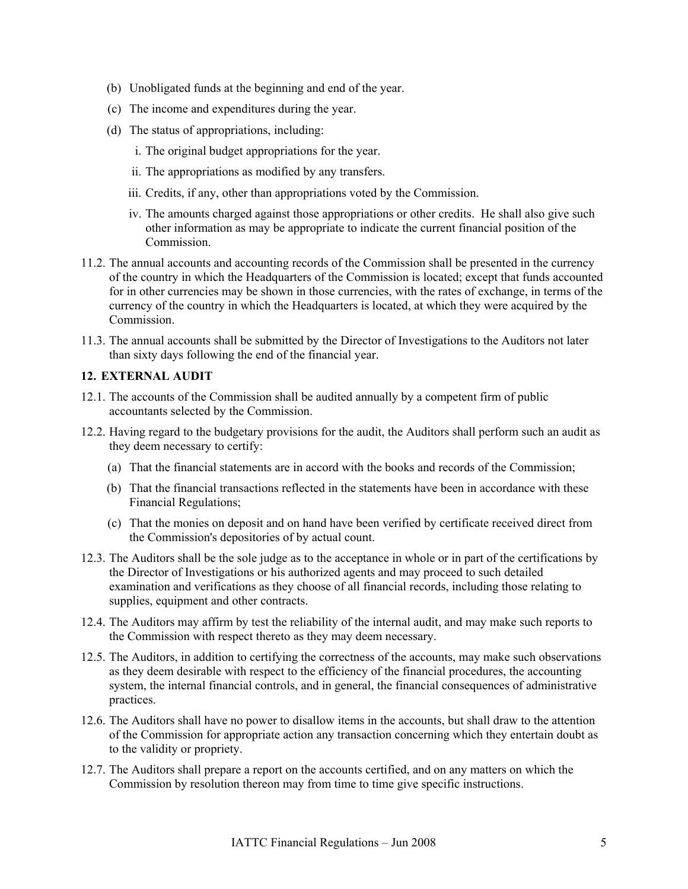- (b) Unobligated funds at the beginning and end of the year.
- (c) The income and expenditures during the year.
- (d) The status of appropriations, including:
	- i. The original budget appropriations for the year.
	- ii. The appropriations as modified by any transfers.
	- iii. Credits, if any, other than appropriations voted by the Commission.
	- iv. The amounts charged against those appropriations or other credits. He shall also give such other information as may be appropriate to indicate the current financial position of the Commission.
- 11.2. The annual accounts and accounting records of the Commission shall be presented in the currency of the country in which the Headquarters of the Commission is located; except that funds accounted for in other currencies may be shown in those currencies, with the rates of exchange, in terms of the currency of the country in which the Headquarters is located, at which they were acquired by the Commission.
- 11.3. The annual accounts shall be submitted by the Director of Investigations to the Auditors not later than sixty days following the end of the financial year.

#### **12. EXTERNAL AUDIT**

- 12.1. The accounts of the Commission shall be audited annually by a competent firm of public accountants selected by the Commission.
- 12.2. Having regard to the budgetary provisions for the audit, the Auditors shall perform such an audit as they deem necessary to certify:
	- (a) That the financial statements are in accord with the books and records of the Commission;
	- (b) That the financial transactions reflected in the statements have been in accordance with these Financial Regulations;
	- (c) That the monies on deposit and on hand have been verified by certificate received direct from the Commission's depositories of by actual count.
- 12.3. The Auditors shall be the sole judge as to the acceptance in whole or in part of the certifications by the Director of Investigations or his authorized agents and may proceed to such detailed examination and verifications as they choose of all financial records, including those relating to supplies, equipment and other contracts.
- 12.4. The Auditors may affirm by test the reliability of the internal audit, and may make such reports to the Commission with respect thereto as they may deem necessary.
- 12.5. The Auditors, in addition to certifying the correctness of the accounts, may make such observations as they deem desirable with respect to the efficiency of the financial procedures, the accounting system, the internal financial controls, and in general, the financial consequences of administrative practices.
- 12.6. The Auditors shall have no power to disallow items in the accounts, but shall draw to the attention of the Commission for appropriate action any transaction concerning which they entertain doubt as to the validity or propriety.
- 12.7. The Auditors shall prepare a report on the accounts certified, and on any matters on which the Commission by resolution thereon may from time to time give specific instructions.